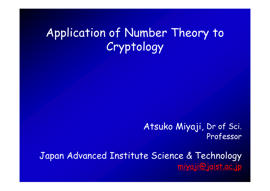# Application of Number Theory to Cryptology

Atsuko Miyaji, Dr of Sci. Professor

Japan Advanced Institute Science & Technology [miyaji@jaist.ac.jp](mailto:miyaji@jaist.ac.jp)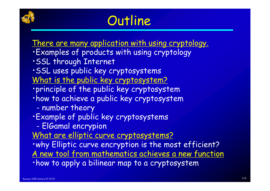

# **Outline**

There are many application with using cryptology.

- ・Examples of products with using cryptology
- ・SSL through Internet
- ・SSL uses public key cryptosystems
- What is the public key cryptosystem?
- ・principle of the public key cryptosystem
- ・how to achieve a public key cryptosystem
	- number theory
- ・Example of public key cryptosystems
	- -ElGamal encrypion
- What are elliptic curve cryptosystems?

・why Elliptic curve encryption is the most efficient? A new tool from mathematics achieves a new function ・how to apply a bilinear map to a cryptosystem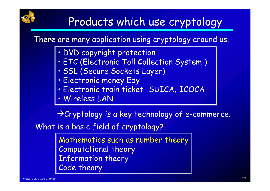

# Products which use cryptology

There are many application using cryptology around us.

- DVD copyright protection
- ETC (**E**lectronic **T**oll **C**ollection System )
- SSL (Secure Sockets Layer)
- Electronic money Edy
- Electronic train ticket- SUICA, ICOCA
- Wireless LAN

 $\rightarrow$  Cryptology is a key technology of e-commerce.

What is a basic field of cryptology?

Mathematics such as number theory Computational theory Information theory Code theory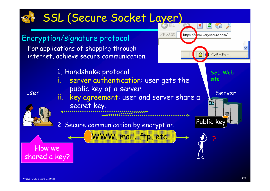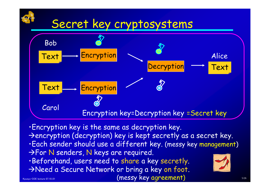# Secret key cryptosystems



・Encryption key is the same as decryption key.  $\rightarrow$  encryption (decryption) key is kept secretly as a secret key. ・Each sender should use a different key. (messy key management) **For N senders, N keys are required.** ・Beforehand, users need to share a key secretly. ANeed a Secure Network or bring a key on foot. (messy key agreement)

MIYAJI'L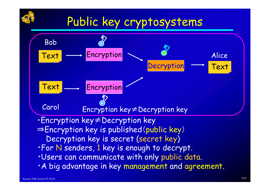

# Public key cryptosystems

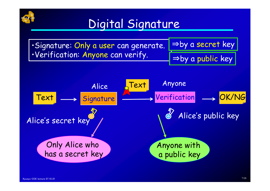

# Digital Signature

•Signature: Only a user can generate. •Verification: Anyone can verify.



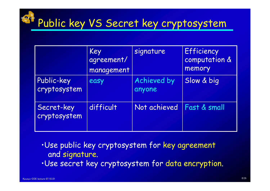#### MIYAJI LABPublic key VS Secret key cryptosystem

|                            | Key<br>agreement/<br>management | signature             | Efficiency<br>computation &<br>memory |
|----------------------------|---------------------------------|-----------------------|---------------------------------------|
| Public-key<br>cryptosystem | easy                            | Achieved by<br>anyone | Slow & big                            |
| Secret-key<br>cryptosystem | difficult                       | Not achieved          | Fast & small                          |

•Use public key cryptosystem for key agreement and signature.

•Use secret key cryptosystem for data encryption.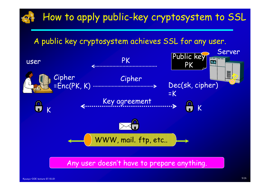

Any user doesn't have to prepare anything.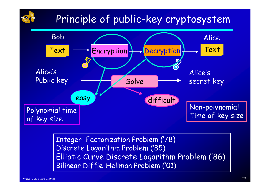## Principle of public-key cryptosystem



Integer Factorization Problem ('78) Discrete Logarithm Problem ('85) Elliptic Curve Discrete Logarithm Problem ('86) Bilinear Diffie-Hellman Problem ('01)

MIYAJI LAB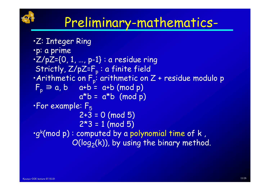

# Preliminary-mathematics-

•Z: Integer Ring •p: a prime  $\cdot Z/pZ = \{0, 1, ..., p-1\}$  : a residue ring Strictly, Z/pZ=F<sub>p</sub> : a finite field<br>•Arithmetic on F<sub>p</sub>: arithmetic on Z + residue modulo p<br>F<sub>n</sub> ∋ a, b a+b = a+b (mod p)  $a^*b = a^*b \pmod{p}$  $\cdot$ For example:  $F_5$  $2+3 = 0$  (mod 5)  $2*3 = 1 \pmod{5}$ •gk(mod p) : computed by a polynomial time of k ,  $O(log_2(k))$ , by using the binary method.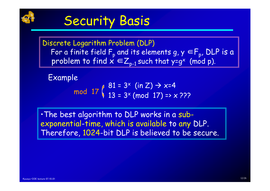

# Security Basis

Discrete Logarithm Problem (DLP) For a finite field F<sub>p</sub> and its elements g,  $y \in F_p$ , DLP is a problem to find  $x \in Z_{p-1}$  such that y=g<sup>x</sup> (mod p).

Example

$$
\text{mod } 17 \left( \begin{array}{c} 81 = 3^x \text{ (in Z)} \rightarrow x=4 \\ 13 = 3^x \text{ (mod } 17) => x \text{ ???} \end{array} \right)
$$

•The best algorithm to DLP works in a subexponential-time, which is available to any DLP. Therefore, 1024-bit DLP is believed to be secure.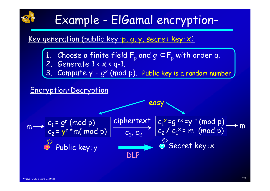# MIYAJI LAB

# Example - ElGamal encryption-

### Key generation (public key: p, g, y, secret key: x)

- 1. Choose a finite field  $F_p$  and  $g \in F_p$  with order q.
	-
- 2. Generate  $1 < x < q-1$ .<br>3. Compute  $y = \alpha^x$  (mea 3.  $\,$  Compute  $\gamma$  = g $^{\times}$  (mod p). Public key is a random number

### Encryption・Decryption

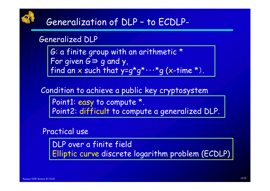

#### Generalized DLP

G: a finite group with an arithmetic \* For given G<sup>∋</sup> g and y, find an x such that  $y = q^*q^* \cdots q$  (x-time \*).

Condition to achieve a public key cryptosystem

Point1: easy to compute \*. Point2: difficult to compute a generalized DLP.

#### Practical use

DLP over a finite field Elliptic curve discrete logarithm problem (ECDLP)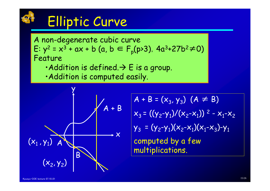

# Elliptic Curve

A non-degenerate cubic curve E:  $y^2 = x^3 + ax + b$  (a, b ∈ F<sub>p</sub>(p>3), 4a<sup>3</sup>+27b<sup>2</sup>≠0)<br>Feature

- Addition is defined.  $\rightarrow$  E is a group.
- •Addition is computed easily.



$$
A + B = (x_3, y_3) (A \neq B)
$$
  
\n
$$
x_3 = ((y_2-y_1)/(x_2-x_1))^2 - x_1-x_2
$$
  
\n
$$
y_3 = (y_2-y_1)(x_2-x_1)(x_1-x_3)-y_1
$$
  
\ncomputed by a few  
\nmultiplications.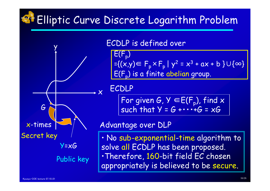#### MIYAJI LAB Elliptic Curve Discrete Logarithm Problem



#### ECDLP is defined over

 $E(F_p)$  $=\{(x,y)\in F_p \times F_p | y^2 = x^3 + ax + b \} \cup \{\infty\}$  $\overline{E(F_n)}$  is a finite abelian group.

#### ECDLP

For given G,  $Y \in E(F_p)$ , find x<br>such that  $Y = G + \cdots + G = xG$ 

#### Advantage over DLP

• No sub-exponential-time algorithm to solve all ECDLP has been proposed. •Therefore, 160-bit field EC chosen appropriately is believed to be secure.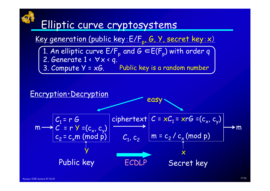## MIYAJI LAB

## Elliptic curve cryptosystems

## Key generation (public key: E/F<sub>p</sub>, G, Y, secret key: x)

3. Compute Y = xG. Public key is a random number 1. An elliptic curve  $E/F_p$  and  $G \in E(F_p)$  with order q 2. Generate  $1 \cdot \forall x \cdot q$ .

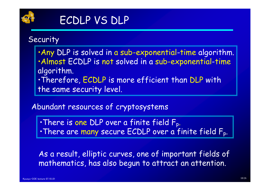

#### Security

•Any DLP is solved in a sub-exponential-time algorithm. •Almost ECDLP is not solved in a sub-exponential-time algorithm. •Therefore, ECDLP is more efficient than DLP with the same security level.

### Abundant resources of cryptosystems

•There is one DLP over a finite field Fp. •There are many secure ECDLP over a finite field Fp.

As a result, elliptic curves, one of important fields of mathematics, has also begun to attract an attention.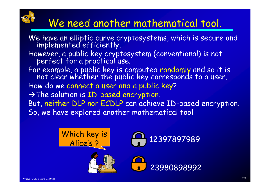# We need another mathematical tool.

We have an elliptic curve cryptosystems, which is secure and implemented efficiently. However, a public key cryptosystem (conventional) is not perfect for a practical use. For example, a public key is computed randomly and so it is not clear whether the public key corresponds to a user. How do we connect a user and a public key?  $\rightarrow$  The solution is ID-based encryption. But, neither DLP nor ECDLP can achieve ID-based encryption. So, we have explored another mathematical tool



MIYAJI LAB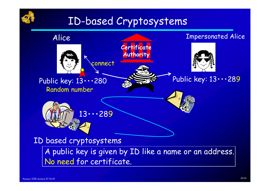

## ID-based Cryptosystems

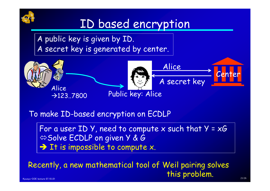

# ID based encryption

A public key is given by ID. A secret key is generated by center.



To make ID-based encryption on ECDLP

For a user  $ID$  Y, need to compute x such that  $Y = xG'$  $\Leftrightarrow$  **Solve ECDLP on given Y & G**  $\rightarrow$  It is impossible to compute x.

Kyusyu-COE lecture 07.10..01 Recently, a new mathematical tool of Weil pairing solves this problem.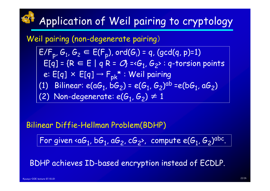# Application of Weil pairing to cryptology

#### Weil pairing (non-degenerate pairing)

 $E/F_{p}$ ,  $G_{1}$ ,  $G_{2} \in E(F_{p})$ , ord $(G_{i})$  = q, (gcd(q, p)=1)  $E[q] = \{R \in E \mid q \mid R = Q\} = \langle G_1, G_2 \rangle : q$ -torsion points e:  $E[q] \times E[q] \rightarrow F_{pk} \times W$ eil pairing (1) Bilinear:  $e(aG_1, bG_2) = e(G_1, G_2)^{ab} = e(bG_1, aG_2)$ (2) Non-degenerate:  $e(G_1, G_2) \neq 1$ 

#### Bilinear Diffie-Hellman Problem(BDHP)

For given  $\triangleleft G_1$ , b $G_1$ , a $G_2$ , c $G_2$ , compute e( $G_1$ ,  $G_2$ )<sup>abc</sup>.

BDHP achieves ID-based encryption instead of ECDLP.

MIYAJI LAB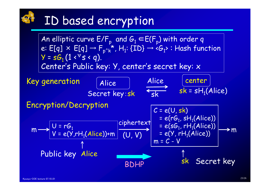#### MIYAJI LABID based encryption

An elliptic curve  $E/F_p$  and  $G_1 \in E(F_p)$  with order q e:  $E[q] \times E[q] \rightarrow F_{p^k}^*$ ,  $H_1$ : {ID}  $\rightarrow$  < $G_1$ >: Hash function  $Y = sG_1 (1 \cdot \forall s \cdot q).$ Center's Public key: Y, center's secret key: x (U, V)  $C = e(U, sk)$  $= e(rG_1, sH_1(Alice))$  $= e(sG_1, rH_1(Alice))$ = e(Y, r $\mathsf{H}_1$ (Alice))  $\mathsf{U}$  = r $\mathsf{G}_1$ V = e(Y,rH<sub>1</sub>(Alice))+m Alice Secret key:sk center  $sk = sH_1(Alice)$ Alice  $rac{1}{\sqrt{2k}}$ Key generation Encryption/Decryption  $m \rightarrow c$ ,  $\lambda$ ,  $\lambda$ ,  $\lambda$ ,  $\lambda$ ,  $\lambda$ ,  $\lambda$ ,  $\lambda$ ,  $\lambda$ ,  $\lambda$ ,  $\lambda$ ,  $\lambda$ ,  $\lambda$ ,  $\lambda$ ,  $\lambda$ ,  $\lambda$ ,  $\lambda$ ,  $\lambda$ ,  $\lambda$ ,  $\lambda$ ,  $\lambda$ ,  $\lambda$ ,  $\lambda$ ,  $\lambda$ ,  $\lambda$ ,  $\lambda$ ,  $\lambda$ ,  $\lambda$ ,  $\lambda$ ,  $\lambda$ ,  $\lambda$ ,  $\lambda$ ,  $\lambda$ ,  $\lambda$ ,  $\lambda$ ,  $\lambda$ ,  $\lambda$ ciphertext

$$
\begin{array}{c|c}\n\hline\n\end{array}
$$
 
$$
\begin{array}{c|c}\n\hline\n\end{array}
$$
 
$$
\begin{array}{c|c}\n\hline\n\end{array}
$$
 
$$
\begin{array}{c|c}\n\hline\n\end{array}
$$
 
$$
\begin{array}{c|c}\n\hline\n\end{array}
$$
 
$$
\begin{array}{c|c}\n\hline\n\end{array}
$$
 
$$
\begin{array}{c|c}\n\hline\n\end{array}
$$
 
$$
\begin{array}{c|c}\n\hline\n\end{array}
$$
 
$$
\begin{array}{c|c}\n\hline\n\end{array}
$$
 
$$
\begin{array}{c|c}\n\hline\n\end{array}
$$
 
$$
\begin{array}{c|c}\n\hline\n\end{array}
$$
 
$$
\begin{array}{c|c}\n\hline\n\end{array}
$$
 
$$
\begin{array}{c|c}\n\hline\n\end{array}
$$
 
$$
\begin{array}{c|c}\n\hline\n\end{array}
$$
 
$$
\begin{array}{c|c}\n\hline\n\end{array}
$$
 
$$
\begin{array}{c|c}\n\hline\n\end{array}
$$
 
$$
\begin{array}{c|c}\n\hline\n\end{array}
$$
 
$$
\begin{array}{c|c}\n\hline\n\end{array}
$$
 
$$
\begin{array}{c|c}\n\hline\n\end{array}
$$
 
$$
\begin{array}{c|c}\n\hline\n\end{array}
$$
 
$$
\begin{array}{c|c}\n\hline\n\end{array}
$$
 
$$
\begin{array}{c|c}\n\hline\n\end{array}
$$
 
$$
\begin{array}{c|c}\n\hline\n\end{array}
$$
 
$$
\begin{array}{c|c}\n\hline\n\end{array}
$$
 
$$
\begin{array}{c|c}\n\hline\n\end{array}
$$
 
$$
\begin{array}{c|c}\n\hline\n\end{array}
$$
 
$$
\begin{array}{c|c}\n\hline\n\end{array}
$$
 
$$
\begin{array}{c|c}\n\hline\n\end{array}
$$
 
$$
\begin{array}{c|c}\n\hline\n\end{array}
$$
 
$$
\begin{array}{c
$$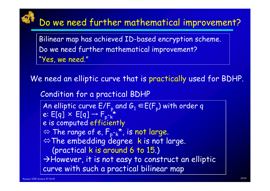#### MIYAJI LAB Do we need further mathematical improvement?

Bilinear map has achieved ID-based encryption scheme. Do we need further mathematical improvement? "Yes, we need."

We need an elliptic curve that is practically used for BDHP.

Condition for a practical BDHP

An elliptic curve  $E/F_p$  and  $G_1 \in E(F_p)$  with order q<br>e: E[q] × E[q] →  $F_{p^k}^*$ <br>e is computed efficiently  $\Leftrightarrow$  The range of e,  $F_{p^{\wedge}k}^{\vphantom{*}}$ , is not large.  $\Leftrightarrow$  The embedding degree k is not large. (practical k is around 6 to 15.)  $\rightarrow$  However, it is not easy to construct an elliptic curve with such a practical bilinear map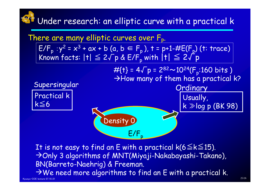#### MIYAJI LABUnder research: an elliptic curve with a practical k



It is not easy to find an E with a practical  $k(6 \le k \le 15)$ . <sup>Æ</sup>Only 3 algorithms of MNT(Miyaji-Nakabayashi-Takano), BN(Barreto-Naehrig) & Freeman.  $\rightarrow$  We need more algorithms to find an E with a practical k.